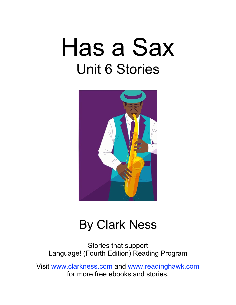# Has a Sax Unit 6 Stories



### By Clark Ness

Stories that support Language! (Fourth Edition) Reading Program

Visit [www.clarkness.com](http://www.clarkness.com) and [www.readinghawk.com](http://www.readinghawk.com) for more free ebooks and stories.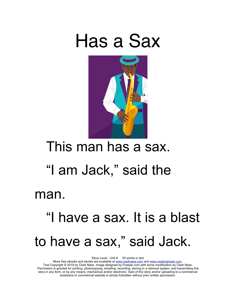



#### This man has a sax.

### "I am Jack," said the

man.

## "I have a sax. It is a blast to have a sax," said Jack.

Story Level - Unit 6 25 words in text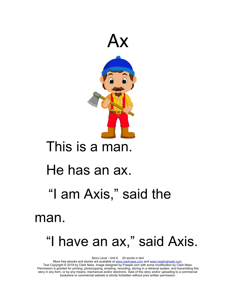

### This is a man.

#### He has an ax.

### "I am Axis," said the

#### man.

### "I have an ax," said Axis.

Story Level - Unit 6 20 words in text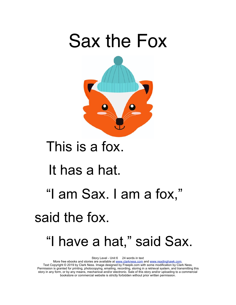

### This is a fox.

### It has a hat.

### "I am Sax. I am a fox," said the fox.

### "I have a hat," said Sax.

Story Level - Unit 6 24 words in text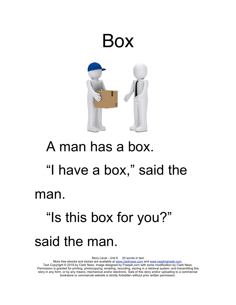

# A man has a box. "I have a box," said the man. "Is this box for you?"

### said the man.

Story Level - Unit 6 20 words in text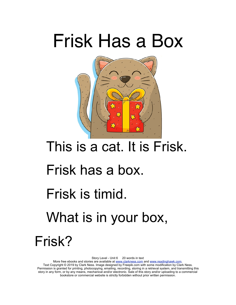## Frisk Has a Box



## This is a cat. It is Frisk. Frisk has a box. Frisk is timid.

### What is in your box,

Frisk?

Story Level - Unit 6 20 words in text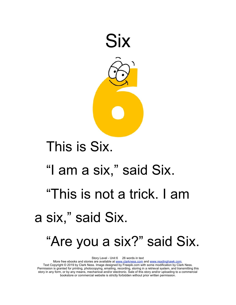

### This is Six.

# "I am a six," said Six.

### "This is not a trick. I am a six," said Six.

### "Are you a six?" said Six.

Story Level - Unit 6 26 words in text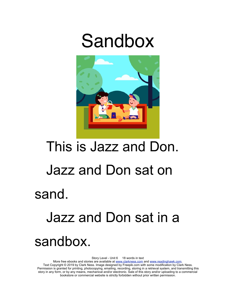## Sandbox



# This is Jazz and Don. Jazz and Don sat on sand. Jazz and Don sat in a

### sandbox.

Story Level - Unit 6 18 words in text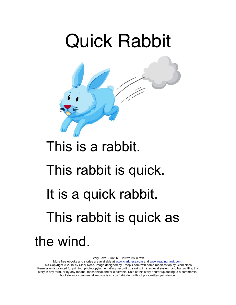

### This is a rabbit.

### This rabbit is quick.

### It is a quick rabbit.

## This rabbit is quick as

#### the wind.

Story Level - Unit 6 20 words in text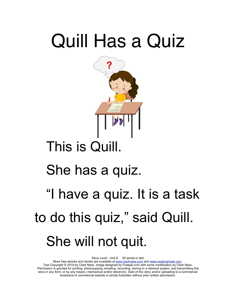# Quill Has a Quiz



### This is Quill.

### She has a quiz.

# "I have a quiz. It is a task to do this quiz," said Quill. She will not quit.

Story Level - Unit 6 25 words in text